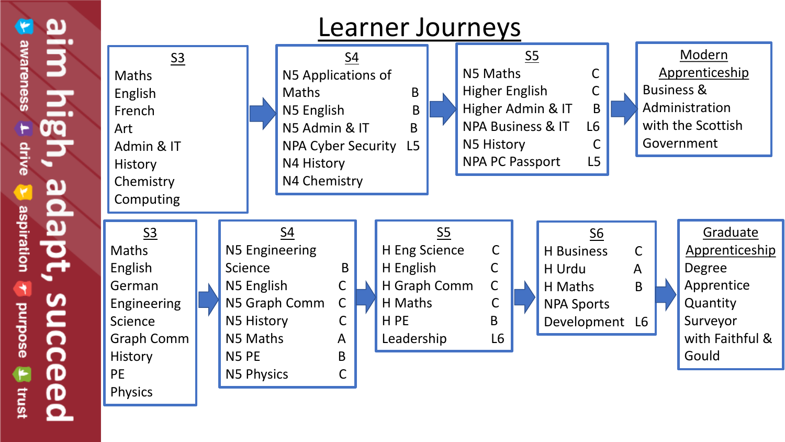